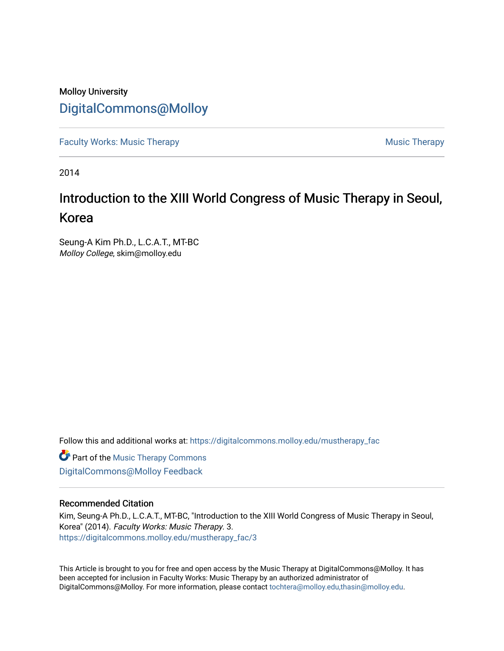### Molloy University [DigitalCommons@Molloy](https://digitalcommons.molloy.edu/)

[Faculty Works: Music Therapy](https://digitalcommons.molloy.edu/mustherapy_fac) [Music Therapy](https://digitalcommons.molloy.edu/mustherapy) Australian Security Music Therapy Music Therapy Music Therapy

2014

## Introduction to the XIII World Congress of Music Therapy in Seoul, Korea

Seung-A Kim Ph.D., L.C.A.T., MT-BC Molloy College, skim@molloy.edu

Follow this and additional works at: [https://digitalcommons.molloy.edu/mustherapy\\_fac](https://digitalcommons.molloy.edu/mustherapy_fac?utm_source=digitalcommons.molloy.edu%2Fmustherapy_fac%2F3&utm_medium=PDF&utm_campaign=PDFCoverPages)

**Part of the [Music Therapy Commons](https://network.bepress.com/hgg/discipline/1248?utm_source=digitalcommons.molloy.edu%2Fmustherapy_fac%2F3&utm_medium=PDF&utm_campaign=PDFCoverPages)** [DigitalCommons@Molloy Feedback](https://molloy.libwizard.com/f/dcfeedback)

#### Recommended Citation

Kim, Seung-A Ph.D., L.C.A.T., MT-BC, "Introduction to the XIII World Congress of Music Therapy in Seoul, Korea" (2014). Faculty Works: Music Therapy. 3. [https://digitalcommons.molloy.edu/mustherapy\\_fac/3](https://digitalcommons.molloy.edu/mustherapy_fac/3?utm_source=digitalcommons.molloy.edu%2Fmustherapy_fac%2F3&utm_medium=PDF&utm_campaign=PDFCoverPages)

This Article is brought to you for free and open access by the Music Therapy at DigitalCommons@Molloy. It has been accepted for inclusion in Faculty Works: Music Therapy by an authorized administrator of DigitalCommons@Molloy. For more information, please contact [tochtera@molloy.edu,thasin@molloy.edu.](mailto:tochtera@molloy.edu,thasin@molloy.edu)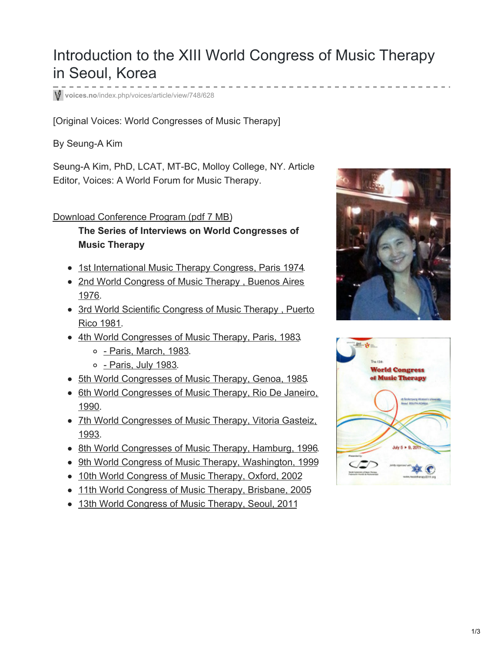# Introduction to the XIII World Congress of Music Therapy in Seoul, Korea

**voices.no**[/index.php/voices/article/view/748/628](https://voices.no/index.php/voices/article/view/748/628)

[Original Voices: World Congresses of Music Therapy]

#### By Seung-A Kim

Seung-A Kim, PhD, LCAT, MT-BC, Molloy College, NY. Article Editor, Voices: A World Forum for Music Therapy.

#### Download [Conference](https://voices.no/index.php/voices/article/downloadSuppFile/748/192) Program (pdf 7 MB)

#### **The Series of Interviews on World Congresses of Music Therapy**

- 1st [International](https://normt.uib.no/index.php/voices/article/view/425/349) Music Therapy Congress, Paris 1974.
- 2nd World [Congress](https://normt.uib.no/index.php/voices/article/view/371/294) of Music Therapy, Buenos Aires 1976.
- 3rd World Scientific [Congress](https://normt.uib.no/index.php/voices/article/view/354/278) of Music Therapy, Puerto Rico 1981.
- 4th World [Congresses](https://normt.uib.no/index.php/voices/article/view/336/262) of Music Therapy, Paris, 1983.
	- o Paris, [March,](https://normt.uib.no/index.php/voices/article/view/336/262) 1983.
	- o [Paris,](https://normt.uib.no/index.php/voices/article/view/338/264) July 1983.
- 5th World [Congresses](https://normt.uib.no/index.php/voices/article/view/326/238) of Music Therapy, Genoa, 1985.
- 6th World [Congresses](https://normt.uib.no/index.php/voices/article/view/296/219) of Music Therapy, Rio De Janeiro, 1990.
- 7th World [Congresses](https://normt.uib.no/index.php/voices/article/view/574/451) of Music Therapy, Vitoria Gasteiz, 1993.
- 8th World [Congresses](https://normt.uib.no/index.php/voices/article/view/590/461) of Music Therapy, Hamburg, 1996.
- 9th World Congress of Music Therapy, [Washington,](https://voices.no/index.php/voices/article/view/614/513) 1999
- 10th World [Congress](https://voices.no/index.php/voices/article/view/648/528) of Music Therapy, Oxford, 2002
- 11th World [Congress](https://voices.no/index.php/voices/article/view/707/589) of Music Therapy, Brisbane, 2005
- 13th World [Congress](https://voices.no/index.php/voices/article/view/748/628) of Music Therapy, Seoul, 2011



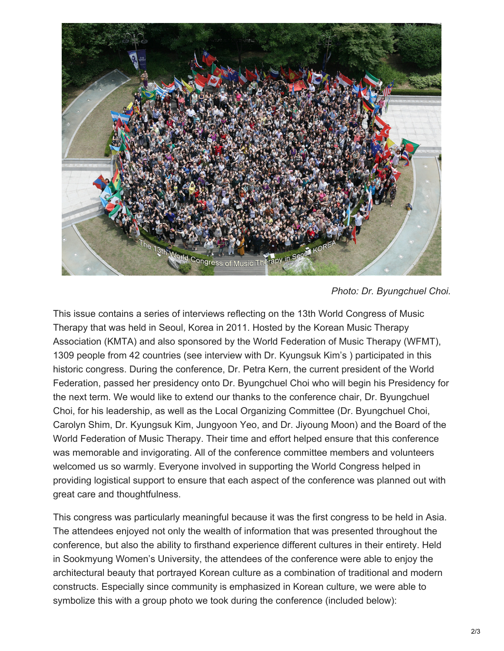

*Photo: Dr. Byungchuel Choi.*

This issue contains a series of interviews reflecting on the 13th World Congress of Music Therapy that was held in Seoul, Korea in 2011. Hosted by the Korean Music Therapy Association (KMTA) and also sponsored by the World Federation of Music Therapy (WFMT), 1309 people from 42 countries (see interview with Dr. Kyungsuk Kim's ) participated in this historic congress. During the conference, Dr. Petra Kern, the current president of the World Federation, passed her presidency onto Dr. Byungchuel Choi who will begin his Presidency for the next term. We would like to extend our thanks to the conference chair, Dr. Byungchuel Choi, for his leadership, as well as the Local Organizing Committee (Dr. Byungchuel Choi, Carolyn Shim, Dr. Kyungsuk Kim, Jungyoon Yeo, and Dr. Jiyoung Moon) and the Board of the World Federation of Music Therapy. Their time and effort helped ensure that this conference was memorable and invigorating. All of the conference committee members and volunteers welcomed us so warmly. Everyone involved in supporting the World Congress helped in providing logistical support to ensure that each aspect of the conference was planned out with great care and thoughtfulness.

This congress was particularly meaningful because it was the first congress to be held in Asia. The attendees enjoyed not only the wealth of information that was presented throughout the conference, but also the ability to firsthand experience different cultures in their entirety. Held in Sookmyung Women's University, the attendees of the conference were able to enjoy the architectural beauty that portrayed Korean culture as a combination of traditional and modern constructs. Especially since community is emphasized in Korean culture, we were able to symbolize this with a group photo we took during the conference (included below):